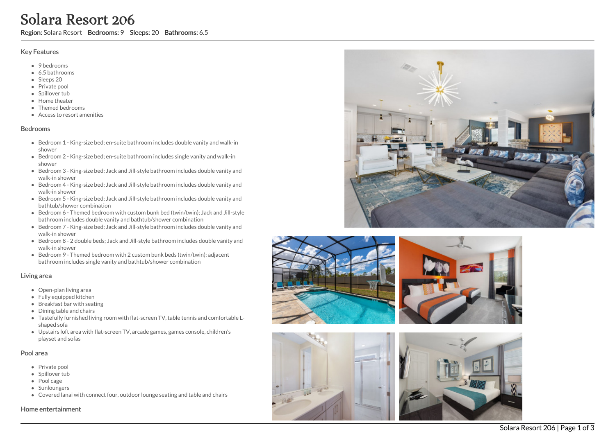# Solara Resort 206

Region: Solara Resort Bedrooms: 9 Sleeps: 20 Bathrooms: 6.5

# Key Features

- 9 bedrooms
- 6.5 b a t h r o o m s
- Sleeps 20
- Private pool
- Spillover tub
- Home theate r
- T h e m e d b e d r o o m s
- Access to resort amenities

# **Bedrooms**

- Bedroom 1 King-size bed; en-suite bathroom includes double vanity and walk-in s h o w e r
- Bedroom 2 King-size bed; en-suite bathroom includes single vanity and walk-in s h o w e r
- Bedroom 3 King-size bed; Jack and Jill-style bathroom includes double vanity and walk-in shower
- Bedroom 4 King-size bed; Jack and Jill-style bathroom includes double vanity and walk-in shower
- Bedroom 5 King-size bed; Jack and Jill-style bathroom includes double vanity and bathtub/shower combination
- Bedroom 6 Themed bedroom with custom bunk bed (twin/twin); Jack and Jill-style bathroom includes double vanity and bathtub/shower combination
- Bedroom 7 King-size bed; Jack and Jill-style bathroom includes double vanity and walk-in shower
- Bedroom 8 2 double beds; Jack and Jill-style bathroom includes double vanity and walk-in shower
- Bedroom 9 Themed bedroom with 2 custom bunk beds (twin/twin); adjacent bathroom includes single vanity and bathtub/shower combination

# Living area

- Open-plan living area
- Fully equipped kitchen
- Breakfast bar with seating
- Dining table and chairs
- Tastefully furnished living room with flat-screen TV, table tennis and comfortable Lshaped sofa
- Upstairs loft area with flat-screen TV, arcade games, games console, children's playset and sofas

# Pool area

- Private pool
- Spillover tub
- Pool cage
- Sunloungers
- Covered lanai with connect four, outdoor lounge seating and table and chairs

#### Home entertainment





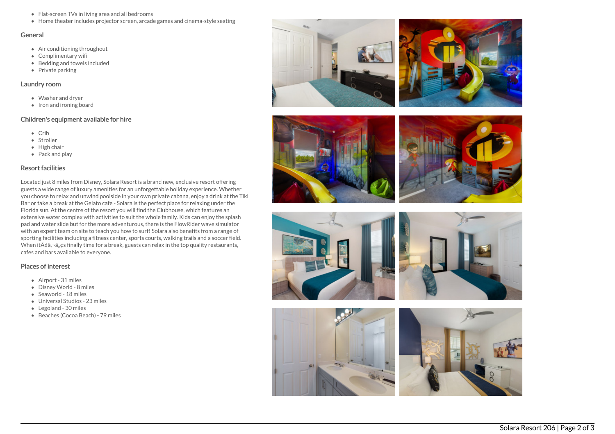- Flat-screen TVs in living area and all bedrooms
- Home theater includes projector screen, arcade games and cinema-style seating

#### General

- Air conditioning throughout
- Complimentary wifi
- Bedding and towels included
- $\bullet$  Private parking

# Laundry room

- Washer and dryer
- Iron and ironing board

# Children's equipment available for hire

- Crib
- Stroller
- High chair
- Pack and play

# Resort facilities

Located just 8 miles from Disney, Solara Resort is a brand new, exclusive resort offering guests a wide range of luxury amenities for an unforgettable holiday experience. Whether you choose to relax and unwind poolside in your own private cabana, enjoy a drink at the Tiki Bar or take a break at the Gelato cafe - Solara is the perfect place for relaxing under the Florida sun. At the centre of the resort you will find the Clubhouse, which features an extensive water complex with activities to suit the whole family. Kids can enjoy the splash pad and water slide but for the more adventurous, there is the FlowRider wave simulator with an expert team on site to teach you how to surf! Solara also benefits from a range of sporting facilities including a fitness center, sports courts, walking trails and a soccer field. When it $\tilde{A}$  $\tilde{a}$ , $\tilde{a}$ , $\tilde{a}$ , $\tilde{a}$  finally time for a break, guests can relax in the top quality restaurants, cafes and bars available to everyone.

# Places of interest

- Airport 31 miles
- Disney World 8 miles
- Seaworld 18 miles
- Universal Studios 23 miles
- Legoland 30 miles
- Beaches (Cocoa Beach) 79 miles